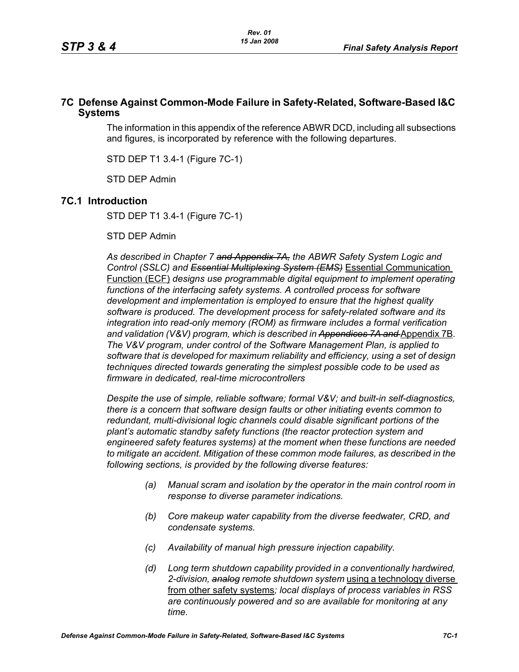### **7C Defense Against Common-Mode Failure in Safety-Related, Software-Based I&C Systems**

The information in this appendix of the reference ABWR DCD, including all subsections and figures, is incorporated by reference with the following departures.

STD DEP T1 3.4-1 (Figure 7C-1)

STD DEP Admin

## **7C.1 Introduction**

STD DEP T1 3.4-1 (Figure 7C-1)

STD DEP Admin

*As described in Chapter 7 and Appendix 7A, the ABWR Safety System Logic and Control (SSLC) and Essential Multiplexing System (EMS)* Essential Communication Function (ECF) *designs use programmable digital equipment to implement operating*  functions of the interfacing safety systems. A controlled process for software *development and implementation is employed to ensure that the highest quality software is produced. The development process for safety-related software and its integration into read-only memory (ROM) as firmware includes a formal verification*  and validation (V&V) program, which is described in Appendices 7A and Appendix 7B. *The V&V program, under control of the Software Management Plan, is applied to software that is developed for maximum reliability and efficiency, using a set of design techniques directed towards generating the simplest possible code to be used as firmware in dedicated, real-time microcontrollers*

*Despite the use of simple, reliable software; formal V&V; and built-in self-diagnostics, there is a concern that software design faults or other initiating events common to redundant, multi-divisional logic channels could disable significant portions of the plant's automatic standby safety functions (the reactor protection system and engineered safety features systems) at the moment when these functions are needed to mitigate an accident. Mitigation of these common mode failures, as described in the following sections, is provided by the following diverse features:*

- *(a) Manual scram and isolation by the operator in the main control room in response to diverse parameter indications.*
- *(b) Core makeup water capability from the diverse feedwater, CRD, and condensate systems.*
- *(c) Availability of manual high pressure injection capability.*
- *(d) Long term shutdown capability provided in a conventionally hardwired, 2-division, analog remote shutdown system* using a technology diverse from other safety systems*; local displays of process variables in RSS are continuously powered and so are available for monitoring at any time.*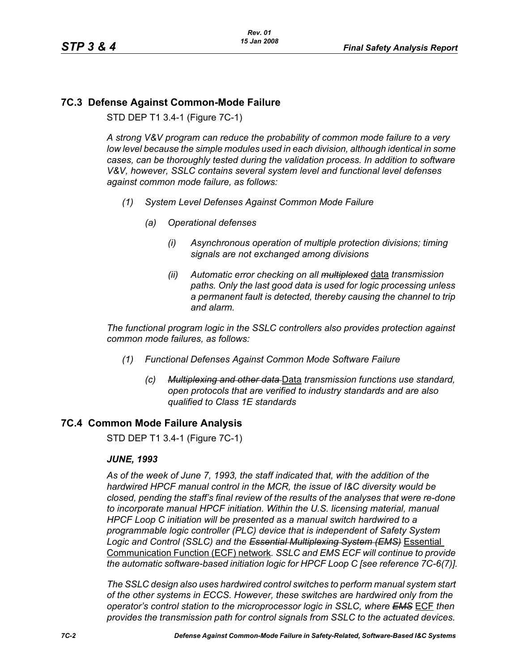# **7C.3 Defense Against Common-Mode Failure**

STD DEP T1 3.4-1 (Figure 7C-1)

*A strong V&V program can reduce the probability of common mode failure to a very low level because the simple modules used in each division, although identical in some cases, can be thoroughly tested during the validation process. In addition to software V&V, however, SSLC contains several system level and functional level defenses against common mode failure, as follows:*

- *(1) System Level Defenses Against Common Mode Failure*
	- *(a) Operational defenses*
		- *(i) Asynchronous operation of multiple protection divisions; timing signals are not exchanged among divisions*
		- *(ii) Automatic error checking on all multiplexed* data *transmission paths. Only the last good data is used for logic processing unless a permanent fault is detected, thereby causing the channel to trip and alarm.*

*The functional program logic in the SSLC controllers also provides protection against common mode failures, as follows:*

- *(1) Functional Defenses Against Common Mode Software Failure*
	- *(c) Multiplexing and other data* Data *transmission functions use standard, open protocols that are verified to industry standards and are also qualified to Class 1E standards*

## **7C.4 Common Mode Failure Analysis**

STD DEP T1 3.4-1 (Figure 7C-1)

#### *JUNE, 1993*

*As of the week of June 7, 1993, the staff indicated that, with the addition of the hardwired HPCF manual control in the MCR, the issue of I&C diversity would be closed, pending the staff's final review of the results of the analyses that were re-done to incorporate manual HPCF initiation. Within the U.S. licensing material, manual HPCF Loop C initiation will be presented as a manual switch hardwired to a programmable logic controller (PLC) device that is independent of Safety System Logic and Control (SSLC) and the Essential Multiplexing System (EMS)* Essential Communication Function (ECF) network*. SSLC and EMS ECF will continue to provide the automatic software-based initiation logic for HPCF Loop C [see reference 7C-6(7)].*

*The SSLC design also uses hardwired control switches to perform manual system start of the other systems in ECCS. However, these switches are hardwired only from the operator's control station to the microprocessor logic in SSLC, where EMS* ECF *then provides the transmission path for control signals from SSLC to the actuated devices.*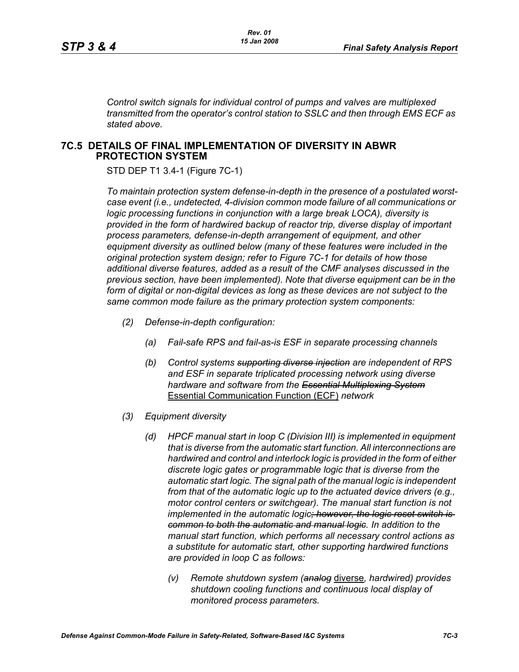*Control switch signals for individual control of pumps and valves are multiplexed transmitted from the operator's control station to SSLC and then through EMS ECF as stated above.*

#### **7C.5 DETAILS OF FINAL IMPLEMENTATION OF DIVERSITY IN ABWR PROTECTION SYSTEM**

STD DEP T1 3.4-1 (Figure 7C-1)

*To maintain protection system defense-in-depth in the presence of a postulated worstcase event (i.e., undetected, 4-division common mode failure of all communications or logic processing functions in conjunction with a large break LOCA), diversity is provided in the form of hardwired backup of reactor trip, diverse display of important process parameters, defense-in-depth arrangement of equipment, and other equipment diversity as outlined below (many of these features were included in the original protection system design; refer to Figure 7C-1 for details of how those additional diverse features, added as a result of the CMF analyses discussed in the previous section, have been implemented). Note that diverse equipment can be in the form of digital or non-digital devices as long as these devices are not subject to the same common mode failure as the primary protection system components:*

- *(2) Defense-in-depth configuration:*
	- *(a) Fail-safe RPS and fail-as-is ESF in separate processing channels*
	- *(b) Control systems supporting diverse injection are independent of RPS and ESF in separate triplicated processing network using diverse hardware and software from the Essential Multiplexing System* Essential Communication Function (ECF) *network*
- *(3) Equipment diversity*
	- *(d) HPCF manual start in loop C (Division III) is implemented in equipment that is diverse from the automatic start function. All interconnections are hardwired and control and interlock logic is provided in the form of either discrete logic gates or programmable logic that is diverse from the automatic start logic. The signal path of the manual logic is independent from that of the automatic logic up to the actuated device drivers (e.g., motor control centers or switchgear). The manual start function is not implemented in the automatic logic; however, the logic reset switch is common to both the automatic and manual logic. In addition to the manual start function, which performs all necessary control actions as a substitute for automatic start, other supporting hardwired functions are provided in loop C as follows:*
		- *(v) Remote shutdown system (analog* diverse*, hardwired) provides shutdown cooling functions and continuous local display of monitored process parameters.*